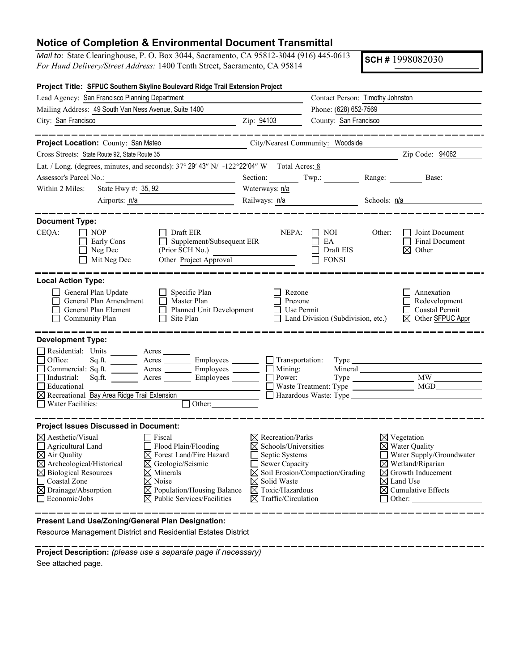## **Notice of Completion & Environmental Document Transmittal**

*Mail to:* State Clearinghouse, P. O. Box 3044, Sacramento, CA 95812-3044 (916) 445-0613 *For Hand Delivery/Street Address:* 1400 Tenth Street, Sacramento, CA 95814

**SCH #** 1998082030

| Project Title: SFPUC Southern Skyline Boulevard Ridge Trail Extension Project                                                                                                                                                                                                                                                                                                                                                                                                               |                                                                                                                                                                                                |                                                |                                                                                                                                                                                                                             |  |
|---------------------------------------------------------------------------------------------------------------------------------------------------------------------------------------------------------------------------------------------------------------------------------------------------------------------------------------------------------------------------------------------------------------------------------------------------------------------------------------------|------------------------------------------------------------------------------------------------------------------------------------------------------------------------------------------------|------------------------------------------------|-----------------------------------------------------------------------------------------------------------------------------------------------------------------------------------------------------------------------------|--|
| Lead Agency: San Francisco Planning Department                                                                                                                                                                                                                                                                                                                                                                                                                                              | Contact Person: Timothy Johnston                                                                                                                                                               |                                                |                                                                                                                                                                                                                             |  |
| Mailing Address: 49 South Van Ness Avenue, Suite 1400                                                                                                                                                                                                                                                                                                                                                                                                                                       |                                                                                                                                                                                                | Phone: (628) 652-7569<br>County: San Francisco |                                                                                                                                                                                                                             |  |
| City: San Francisco                                                                                                                                                                                                                                                                                                                                                                                                                                                                         | Zip: 94103                                                                                                                                                                                     |                                                |                                                                                                                                                                                                                             |  |
|                                                                                                                                                                                                                                                                                                                                                                                                                                                                                             |                                                                                                                                                                                                |                                                |                                                                                                                                                                                                                             |  |
| Project Location: County: San Mateo<br>City/Nearest Community: Woodside                                                                                                                                                                                                                                                                                                                                                                                                                     |                                                                                                                                                                                                |                                                |                                                                                                                                                                                                                             |  |
| Cross Streets: State Route 92, State Route 35                                                                                                                                                                                                                                                                                                                                                                                                                                               |                                                                                                                                                                                                |                                                | Zip Code: 94062                                                                                                                                                                                                             |  |
| Lat. / Long. (degrees, minutes, and seconds): $37^{\circ}$ 29' 43" N/ -122°22'04" W Total Acres: 8                                                                                                                                                                                                                                                                                                                                                                                          |                                                                                                                                                                                                |                                                |                                                                                                                                                                                                                             |  |
|                                                                                                                                                                                                                                                                                                                                                                                                                                                                                             | Section: Twp.:                                                                                                                                                                                 |                                                | Range: Base: ______                                                                                                                                                                                                         |  |
| State Hwy #: 35, 92<br>Within 2 Miles:                                                                                                                                                                                                                                                                                                                                                                                                                                                      | Waterways: n/a                                                                                                                                                                                 |                                                |                                                                                                                                                                                                                             |  |
| Airports: n/a<br><u> 1990 - Johann Barbara, martin a</u>                                                                                                                                                                                                                                                                                                                                                                                                                                    | Railways: n/a                                                                                                                                                                                  |                                                | Schools: $n/a$                                                                                                                                                                                                              |  |
|                                                                                                                                                                                                                                                                                                                                                                                                                                                                                             |                                                                                                                                                                                                |                                                |                                                                                                                                                                                                                             |  |
| <b>Document Type:</b><br>CEQA:<br>$\Box$ Nop<br>Draft EIR<br>Supplement/Subsequent EIR<br>$\Box$ Early Cons<br>$\Box$<br>$\Box$ Neg Dec<br>(Prior SCH No.)<br>Other Project Approval<br>$\Box$ Mit Neg Dec                                                                                                                                                                                                                                                                                  | NEPA:                                                                                                                                                                                          | NOI<br>EA<br>Draft EIS<br>7 FONSI              | Other:<br>Joint Document<br><b>Final Document</b><br>$\boxtimes$ Other                                                                                                                                                      |  |
| <b>Local Action Type:</b><br>General Plan Update<br>$\Box$ Specific Plan<br>$\Box$ General Plan Amendment<br>Master Plan<br>$\Box$ General Plan Element<br>Planned Unit Development<br>Community Plan<br>$\Box$ Site Plan                                                                                                                                                                                                                                                                   | $\Box$ Rezone<br>$\Box$ Prezone<br>$\Box$ Use Permit                                                                                                                                           | $\Box$ Land Division (Subdivision, etc.)       | Annexation<br>$\Box$ Redevelopment<br>$\Box$ Coastal Permit<br>⊠ Other SFPUC Appr                                                                                                                                           |  |
| <b>Development Type:</b><br>Residential: Units ________ Acres<br>Acres Employees<br>Office:<br>Commercial: Sq.ft. _________ Acres _________ Employees ________ __ Mining:<br>Industrial:<br>$Sq.ft.$ Acres<br>Employees<br>Educational<br>$\boxtimes$ Recreational Bay Area Ridge Trail Extension<br>$\Box$ Water Facilities:<br>$\Box$ Other:                                                                                                                                              | $\Box$ Transportation:<br>$\Box$ Power:                                                                                                                                                        |                                                |                                                                                                                                                                                                                             |  |
| <b>Project Issues Discussed in Document:</b>                                                                                                                                                                                                                                                                                                                                                                                                                                                |                                                                                                                                                                                                |                                                |                                                                                                                                                                                                                             |  |
| $\boxtimes$ Aesthetic/Visual<br>$\Box$ Fiscal<br>$\Box$ Flood Plain/Flooding<br>Agricultural Land<br>$\boxtimes$ Air Quality<br>$\boxtimes$ Forest Land/Fire Hazard<br>$\boxtimes$ Archeological/Historical<br>$\boxtimes$ Geologic/Seismic<br>$\boxtimes$ Biological Resources<br>$\boxtimes$ Minerals<br>Coastal Zone<br>$\boxtimes$ Noise<br>$\boxtimes$ Drainage/Absorption<br>$\boxtimes$ Population/Housing Balance<br>$\Box$ Economic/Jobs<br>$\boxtimes$ Public Services/Facilities | $\boxtimes$ Recreation/Parks<br>$\boxtimes$ Schools/Universities<br>Septic Systems<br>$\Box$ Sewer Capacity<br>$\boxtimes$ Solid Waste<br>⊠ Toxic/Hazardous<br>$\boxtimes$ Traffic/Circulation | $\boxtimes$ Soil Erosion/Compaction/Grading    | $\boxtimes$ Vegetation<br>$\boxtimes$ Water Quality<br>Water Supply/Groundwater<br>$\boxtimes$ Wetland/Riparian<br>$\boxtimes$ Growth Inducement<br>$\boxtimes$ Land Use<br>$\boxtimes$ Cumulative Effects<br>$\Box$ Other: |  |

**Present Land Use/Zoning/General Plan Designation:**

Resource Management District and Residential Estates District

**Project Description:** *(please use a separate page if necessary)* See attached page.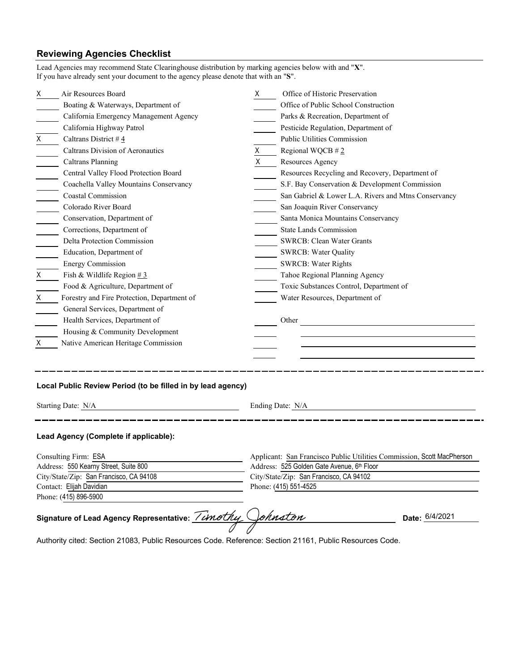## **Reviewing Agencies Checklist**

Lead Agencies may recommend State Clearinghouse distribution by marking agencies below with and "**X**".

| X                                                                                                                     | Air Resources Board                                         | X. | Office of Historic Preservation                                                       |  |  |  |
|-----------------------------------------------------------------------------------------------------------------------|-------------------------------------------------------------|----|---------------------------------------------------------------------------------------|--|--|--|
|                                                                                                                       | Boating & Waterways, Department of                          |    | Office of Public School Construction                                                  |  |  |  |
|                                                                                                                       | California Emergency Management Agency                      |    | Parks & Recreation, Department of                                                     |  |  |  |
|                                                                                                                       | California Highway Patrol                                   |    | Pesticide Regulation, Department of                                                   |  |  |  |
| Χ                                                                                                                     | Caltrans District #4                                        |    | Public Utilities Commission                                                           |  |  |  |
|                                                                                                                       | Caltrans Division of Aeronautics                            | X  | Regional WQCB $#2$                                                                    |  |  |  |
|                                                                                                                       | <b>Caltrans Planning</b>                                    | X  | Resources Agency                                                                      |  |  |  |
|                                                                                                                       | Central Valley Flood Protection Board                       |    | Resources Recycling and Recovery, Department of                                       |  |  |  |
|                                                                                                                       | Coachella Valley Mountains Conservancy                      |    | S.F. Bay Conservation & Development Commission                                        |  |  |  |
|                                                                                                                       | <b>Coastal Commission</b>                                   |    | San Gabriel & Lower L.A. Rivers and Mtns Conservancy                                  |  |  |  |
| $\mathcal{L}(\mathcal{L})$                                                                                            | Colorado River Board                                        |    | San Joaquin River Conservancy                                                         |  |  |  |
|                                                                                                                       | Conservation, Department of                                 |    | Santa Monica Mountains Conservancy                                                    |  |  |  |
|                                                                                                                       | Corrections, Department of                                  |    | <b>State Lands Commission</b>                                                         |  |  |  |
|                                                                                                                       | Delta Protection Commission                                 |    | <b>SWRCB: Clean Water Grants</b>                                                      |  |  |  |
|                                                                                                                       | Education, Department of                                    |    | <b>SWRCB: Water Quality</b>                                                           |  |  |  |
|                                                                                                                       | <b>Energy Commission</b>                                    |    | <b>SWRCB: Water Rights</b>                                                            |  |  |  |
| Χ                                                                                                                     | Fish & Wildlife Region $# 3$                                |    | Tahoe Regional Planning Agency                                                        |  |  |  |
|                                                                                                                       | Food & Agriculture, Department of                           |    | Toxic Substances Control, Department of                                               |  |  |  |
| X                                                                                                                     | Forestry and Fire Protection, Department of                 |    | Water Resources, Department of                                                        |  |  |  |
|                                                                                                                       | General Services, Department of                             |    |                                                                                       |  |  |  |
|                                                                                                                       | Health Services, Department of                              |    | Other                                                                                 |  |  |  |
|                                                                                                                       | Housing & Community Development                             |    |                                                                                       |  |  |  |
| X                                                                                                                     | Native American Heritage Commission                         |    |                                                                                       |  |  |  |
|                                                                                                                       |                                                             |    |                                                                                       |  |  |  |
|                                                                                                                       |                                                             |    |                                                                                       |  |  |  |
|                                                                                                                       |                                                             |    |                                                                                       |  |  |  |
|                                                                                                                       | Local Public Review Period (to be filled in by lead agency) |    |                                                                                       |  |  |  |
| Starting Date: N/A                                                                                                    |                                                             |    | Ending Date: N/A                                                                      |  |  |  |
| <u> 1989 - Johann Stein, mars an t-Santan ann an t-Santan ann an t-Santan ann an t-Santan ann an t-Santan ann an </u> |                                                             |    |                                                                                       |  |  |  |
|                                                                                                                       | Lead Agency (Complete if applicable):                       |    |                                                                                       |  |  |  |
|                                                                                                                       |                                                             |    |                                                                                       |  |  |  |
| Consulting Firm: ESA                                                                                                  |                                                             |    | Applicant: San Francisco Public Utilities Commission, Scott MacPherson                |  |  |  |
| Address: 550 Kearny Street, Suite 800<br>City/State/Zip: San Francisco, CA 94108                                      |                                                             |    | Address: 525 Golden Gate Avenue, 6th Floor<br>City/State/Zip: San Francisco, CA 94102 |  |  |  |
|                                                                                                                       |                                                             |    |                                                                                       |  |  |  |
|                                                                                                                       |                                                             |    |                                                                                       |  |  |  |
|                                                                                                                       | Phone: (415) 896-5900                                       |    |                                                                                       |  |  |  |
|                                                                                                                       | Signature of Lead Agency Representative: //mothy            |    | ohnston<br>Date: 6/4/2021                                                             |  |  |  |

Authority cited: Section 21083, Public Resources Code. Reference: Section 21161, Public Resources Code.